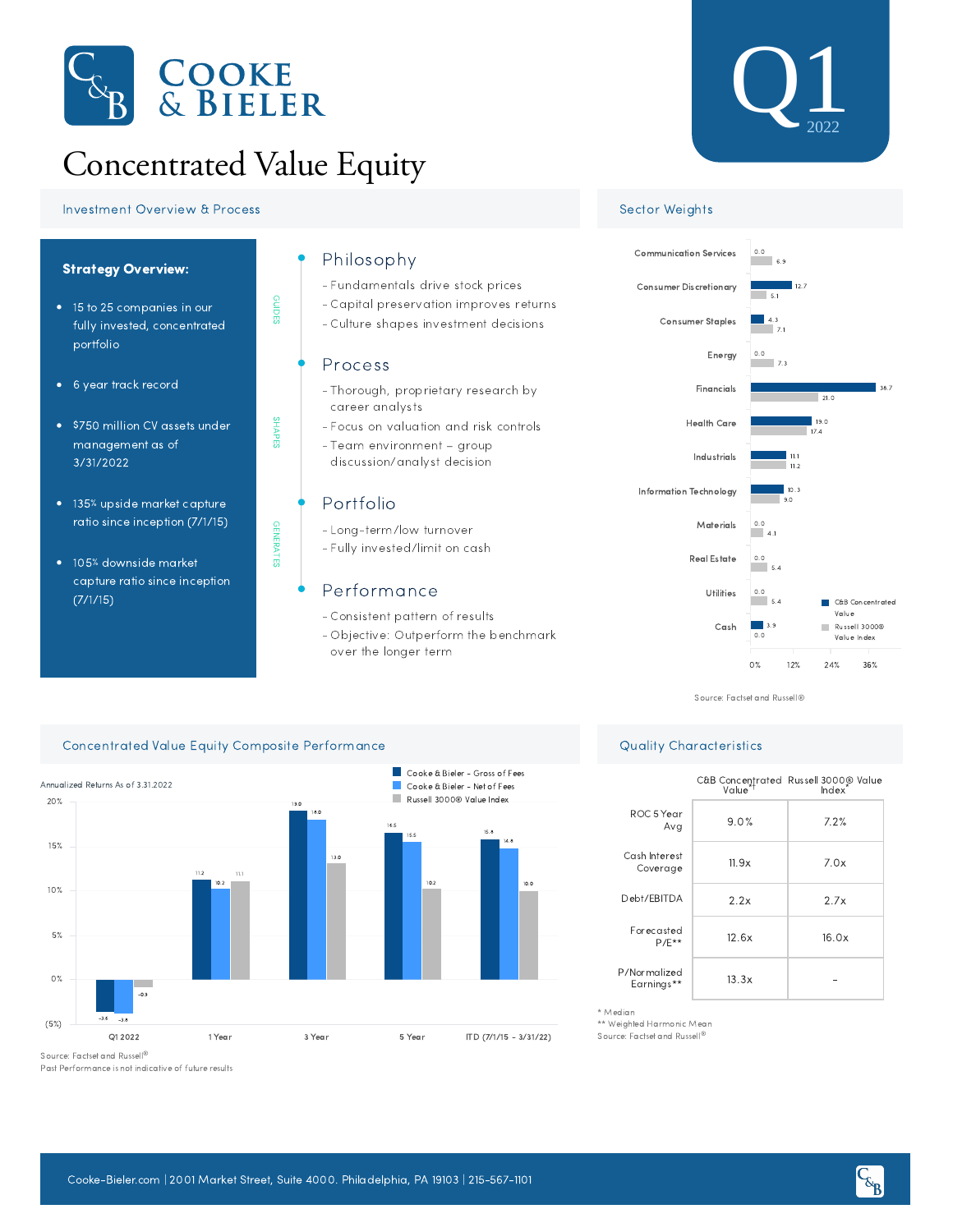

# Concentrated Value Equity

## **Investment Overview & Process Sector Weights** Sector Weights



105% downside market capture ratio since inception (7/1/15)

# Philosophy

- Fundamentals drive stock prices -
- Capital preservation improves returns -
- Culture shapes investment decisions -

# Process

- Thorough, proprietary research by career analysts
- Focus on valuation and risk controls -
- Team environment group discussion/analyst decision

# Portfolio

- Long-term/low turnover -
- Fully invested/limit on cash -

# Performance

- Consistent pattern of results -
- Objective: Outperform the benchmark over the longer term





Source: Factset and Russell®

### Concentrated Value Equity Composite Performance Quality Characteristics



Source: Factset and Russell ®

Past Performance is not indicative of future results

|                            |       | C&B Concentrated Russell 3000® Value<br>Value <sup>*1</sup> lndex* |  |  |
|----------------------------|-------|--------------------------------------------------------------------|--|--|
| ROC 5 Year<br>Avg          | 9.0%  | 7.2%                                                               |  |  |
| Cash Interest<br>Coverage  | 11.9x | 7.0x                                                               |  |  |
| Debt/EBITDA                | 2.2x  | 2.7x                                                               |  |  |
| Forecasted<br>$P/F**$      | 12.6x | 16.0x                                                              |  |  |
| P/Normalized<br>Earnings** | 13.3x |                                                                    |  |  |

\* Median

\*\* Weighted Harmonic Mean

Source: Factset and Russell ®